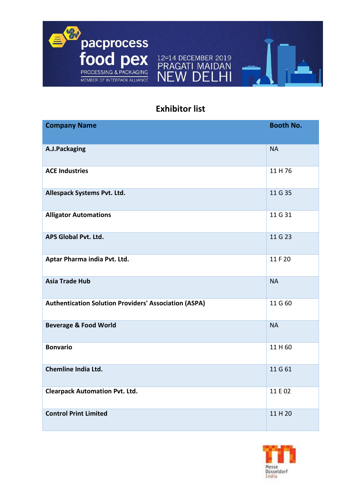

## **Exhibitor list**

F W  $\blacksquare$ 

F

| <b>Company Name</b>                                          | <b>Booth No.</b> |
|--------------------------------------------------------------|------------------|
| A.J.Packaging                                                | <b>NA</b>        |
| <b>ACE Industries</b>                                        | 11H76            |
| Allespack Systems Pvt. Ltd.                                  | 11 G 35          |
| <b>Alligator Automations</b>                                 | 11 G 31          |
| APS Global Pvt. Ltd.                                         | 11 G 23          |
| Aptar Pharma india Pvt. Ltd.                                 | 11 F 20          |
| <b>Asia Trade Hub</b>                                        | <b>NA</b>        |
| <b>Authentication Solution Providers' Association (ASPA)</b> | 11 G 60          |
| <b>Beverage &amp; Food World</b>                             | <b>NA</b>        |
| <b>Bonvario</b>                                              | 11 H 60          |
| <b>Chemline India Ltd.</b>                                   | 11 G 61          |
| <b>Clearpack Automation Pvt. Ltd.</b>                        | 11 E 02          |
| <b>Control Print Limited</b>                                 | 11 H 20          |

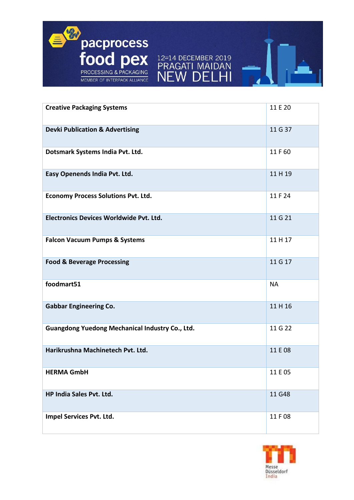



| <b>Creative Packaging Systems</b>               | 11 E 20   |
|-------------------------------------------------|-----------|
| <b>Devki Publication &amp; Advertising</b>      | 11 G 37   |
| Dotsmark Systems India Pvt. Ltd.                | 11F60     |
| Easy Openends India Pvt. Ltd.                   | 11H19     |
| <b>Economy Process Solutions Pvt. Ltd.</b>      | 11 F 24   |
| Electronics Devices Worldwide Pvt. Ltd.         | 11 G 21   |
| <b>Falcon Vacuum Pumps &amp; Systems</b>        | 11 H 17   |
| <b>Food &amp; Beverage Processing</b>           | 11 G 17   |
| foodmart51                                      | <b>NA</b> |
| <b>Gabbar Engineering Co.</b>                   | 11H16     |
| Guangdong Yuedong Mechanical Industry Co., Ltd. | 11 G 22   |
| Harikrushna Machinetech Pvt. Ltd.               | 11 E 08   |
| <b>HERMA GmbH</b>                               | 11 E 05   |
| <b>HP India Sales Pvt. Ltd.</b>                 | 11 G48    |
| Impel Services Pvt. Ltd.                        | 11 F 08   |

 $\overline{M}$ 

F

 $\bigcap$ F  $\mathbf{I}$ 

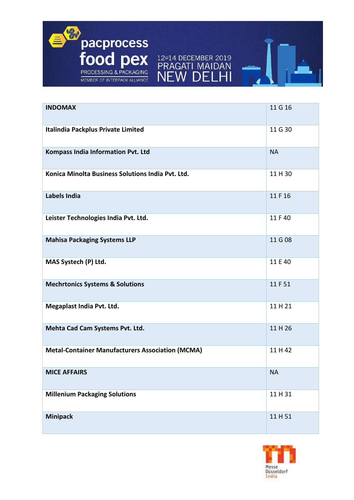

| <b>INDOMAX</b>                                          | 11 G 16   |
|---------------------------------------------------------|-----------|
| Italindia Packplus Private Limited                      | 11 G 30   |
| Kompass India Information Pvt. Ltd                      | <b>NA</b> |
| Konica Minolta Business Solutions India Pvt. Ltd.       | 11 H 30   |
| <b>Labels India</b>                                     | 11 F 16   |
| Leister Technologies India Pvt. Ltd.                    | 11 F 40   |
| <b>Mahisa Packaging Systems LLP</b>                     | 11 G 08   |
| MAS Systech (P) Ltd.                                    | 11 E 40   |
| <b>Mechrtonics Systems &amp; Solutions</b>              | 11 F 51   |
| Megaplast India Pvt. Ltd.                               | 11H21     |
| Mehta Cad Cam Systems Pvt. Ltd.                         | 11H26     |
| <b>Metal-Container Manufacturers Association (MCMA)</b> | 11H42     |
| <b>MICE AFFAIRS</b>                                     | <b>NA</b> |
| <b>Millenium Packaging Solutions</b>                    | 11 H 31   |
| <b>Minipack</b>                                         | 11H51     |

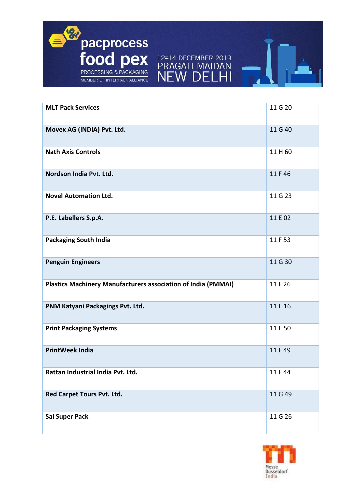

| <b>MLT Pack Services</b>                                      | 11 G 20 |
|---------------------------------------------------------------|---------|
| Movex AG (INDIA) Pvt. Ltd.                                    | 11 G 40 |
| <b>Nath Axis Controls</b>                                     | 11 H 60 |
| Nordson India Pvt. Ltd.                                       | 11 F 46 |
| <b>Novel Automation Ltd.</b>                                  | 11 G 23 |
| P.E. Labellers S.p.A.                                         | 11 E 02 |
| <b>Packaging South India</b>                                  | 11 F 53 |
| <b>Penguin Engineers</b>                                      | 11 G 30 |
| Plastics Machinery Manufacturers association of India (PMMAI) | 11 F 26 |
| PNM Katyani Packagings Pvt. Ltd.                              | 11 E 16 |
| <b>Print Packaging Systems</b>                                | 11 E 50 |
| <b>PrintWeek India</b>                                        | 11 F 49 |
| Rattan Industrial India Pvt. Ltd.                             | 11 F 44 |
| Red Carpet Tours Pvt. Ltd.                                    | 11 G 49 |
| Sai Super Pack                                                | 11 G 26 |

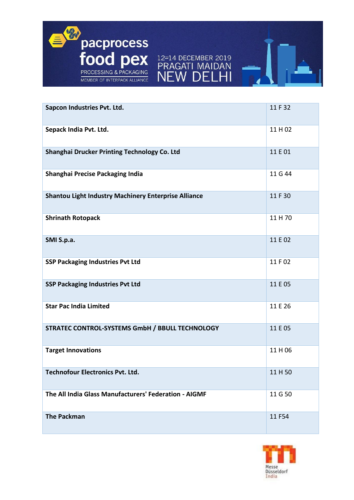

| Sapcon Industries Pvt. Ltd.                                 | 11 F 32 |
|-------------------------------------------------------------|---------|
| Sepack India Pvt. Ltd.                                      | 11H02   |
| Shanghai Drucker Printing Technology Co. Ltd                | 11 E 01 |
| Shanghai Precise Packaging India                            | 11 G 44 |
| <b>Shantou Light Industry Machinery Enterprise Alliance</b> | 11 F 30 |
| <b>Shrinath Rotopack</b>                                    | 11 H 70 |
| SMI S.p.a.                                                  | 11 E 02 |
| <b>SSP Packaging Industries Pvt Ltd</b>                     | 11 F 02 |
| <b>SSP Packaging Industries Pvt Ltd</b>                     | 11 E 05 |
| <b>Star Pac India Limited</b>                               | 11 E 26 |
| STRATEC CONTROL-SYSTEMS GmbH / BBULL TECHNOLOGY             | 11 E 05 |
| <b>Target Innovations</b>                                   | 11H06   |
| Technofour Electronics Pvt. Ltd.                            | 11H50   |
| The All India Glass Manufacturers' Federation - AIGMF       | 11 G 50 |
| <b>The Packman</b>                                          | 11 F54  |